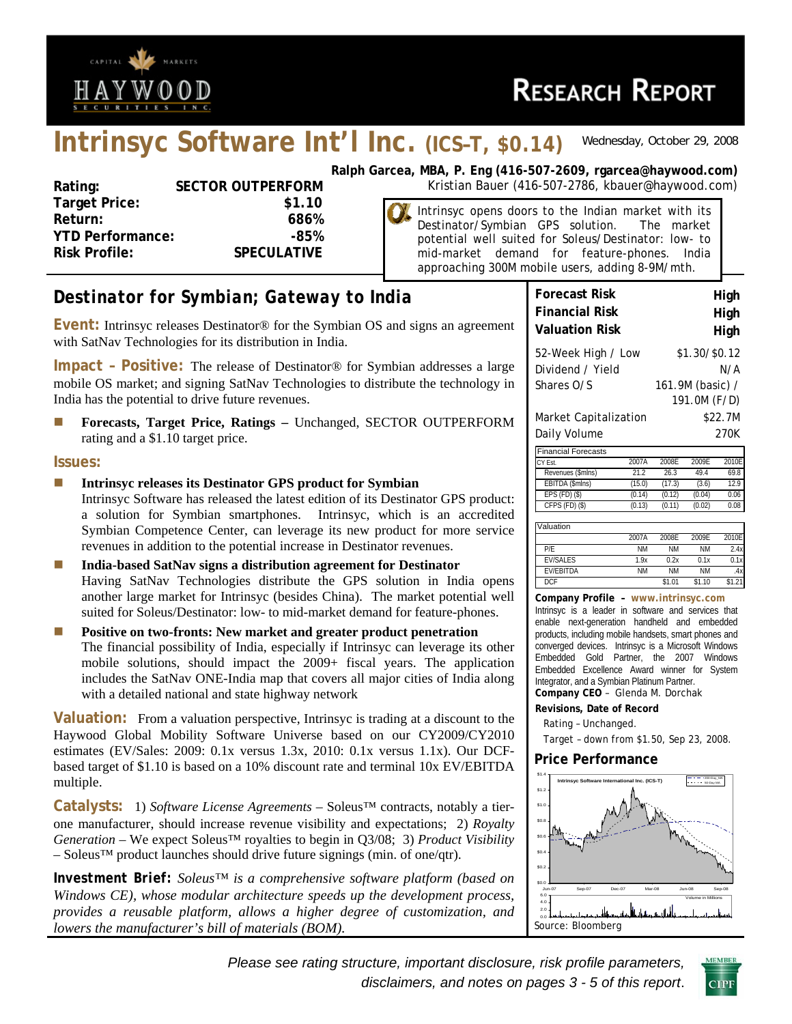

# **Intrinsyc Software Int'l Inc. (ICS–T, \$0.14)** *Wednesday, October 29, 2008*

| Rating:                 | <b>SECTOR OUTPERFORM</b> |
|-------------------------|--------------------------|
| <b>Target Price:</b>    | \$1.10                   |
| Return:                 | 686%                     |
| <b>YTD Performance:</b> | -85%                     |
| <b>Risk Profile:</b>    | <b>SPECULATIVE</b>       |
|                         |                          |

**Ralph Garcea, MBA, P. Eng (416-507-2609, rgarcea@haywood.com) RM** Kristian Bauer (416-507-2786, kbauer@haywood.com)

Intrinsyc opens doors to the Indian market with its Destinator/Symbian GPS solution. The market potential well suited for Soleus/Destinator: low- to mid-market demand for feature-phones. India approaching 300M mobile users, adding 8-9M/mth.

# *Destinator for Symbian; Gateway to India*

**Event:** Intrinsyc releases Destinator® for the Symbian OS and signs an agreement with SatNav Technologies for its distribution in India.

**Impact – Positive:** The release of Destinator® for Symbian addresses a large mobile OS market; and signing SatNav Technologies to distribute the technology in India has the potential to drive future revenues.

**Forecasts, Target Price, Ratings – Unchanged, SECTOR OUTPERFORM** rating and a \$1.10 target price.

#### **Issues:**

- **Intrinsyc releases its Destinator GPS product for Symbian**  Intrinsyc Software has released the latest edition of its Destinator GPS product: a solution for Symbian smartphones. Intrinsyc, which is an accredited Symbian Competence Center, can leverage its new product for more service revenues in addition to the potential increase in Destinator revenues.
- **India-based SatNav signs a distribution agreement for Destinator**  Having SatNav Technologies distribute the GPS solution in India opens another large market for Intrinsyc (besides China). The market potential well suited for Soleus/Destinator: low- to mid-market demand for feature-phones.
- **Positive on two-fronts: New market and greater product penetration** The financial possibility of India, especially if Intrinsyc can leverage its other mobile solutions, should impact the 2009+ fiscal years. The application includes the SatNav ONE-India map that covers all major cities of India along with a detailed national and state highway network

**Valuation:** From a valuation perspective, Intrinsyc is trading at a discount to the Haywood Global Mobility Software Universe based on our CY2009/CY2010 estimates (EV/Sales: 2009: 0.1x versus 1.3x, 2010: 0.1x versus 1.1x). Our DCFbased target of \$1.10 is based on a 10% discount rate and terminal 10x EV/EBITDA multiple.

**Catalysts:** 1) *Software License Agreements* – Soleus™ contracts, notably a tierone manufacturer, should increase revenue visibility and expectations; 2) *Royalty Generation* – We expect Soleus™ royalties to begin in Q3/08; 3) *Product Visibility* – Soleus™ product launches should drive future signings (min. of one/qtr).

*Investment Brief: Soleus™ is a comprehensive software platform (based on Windows CE), whose modular architecture speeds up the development process, provides a reusable platform, allows a higher degree of customization, and lowers the manufacturer's bill of materials (BOM).* 

| <b>Forecast Risk</b>       |       |                  |               | High    |
|----------------------------|-------|------------------|---------------|---------|
| <b>Financial Risk</b>      |       |                  |               | High    |
| Valuation Risk             |       |                  |               | High    |
| 52-Week High / Low         |       |                  | \$1.30/\$0.12 |         |
| Dividend / Yield           |       |                  |               | N/A     |
| Shares O/S                 |       | 161.9M (basic) / | 191.0M (F/D)  |         |
| Market Capitalization      |       |                  |               | \$22.7M |
| Daily Volume               |       |                  |               | 270K    |
| <b>Financial Forecasts</b> |       |                  |               |         |
| CY Est.                    | 2007A | 2008E            | 2009E         | 2010E   |
| Revenues (\$mlns)          | 21.2  | 26.3             | 49.4          | 69.8    |

| CY Est.            | 2007A  | 2008F  | 2009F  | 2010EI |
|--------------------|--------|--------|--------|--------|
| Revenues (\$mlns)  | 21.2   | 26.3   | 49.4   | 69.8   |
| EBITDA (\$mlns)    | (15.0) | (17.3) | (3.6)  | 12.9   |
| $EPS$ (FD) $(S)$   | (0.14) | (0.12) | (0.04) | 0.06   |
| $CFPS$ (FD) $(\$)$ | (0.13) | (0.11) | (0.02) | 0.08   |
|                    |        |        |        |        |

| Valuation        |           |           |           |        |
|------------------|-----------|-----------|-----------|--------|
|                  | 2007A     | 2008F     | 2009F     | 2010E  |
| P/F              | <b>NM</b> | <b>NM</b> | ΝM        | 2.4x   |
| <b>FV/SAIFS</b>  | 1.9x      | 0.2x      | 0.1x      | 0.1x   |
| <b>FV/FBITDA</b> | ΝM        | <b>NM</b> | <b>NM</b> | .4x    |
| <b>DCF</b>       |           | \$1.01    | \$1.10    | \$1.21 |

#### **Company Profile – www.intrinsyc.com**

Intrinsyc is a leader in software and services that enable next-generation handheld and embedded products, including mobile handsets, smart phones and converged devices. Intrinsyc is a Microsoft Windows Embedded Gold Partner, the 2007 Windows Embedded Excellence Award winner for System Integrator, and a Symbian Platinum Partner. **Company CEO** – Glenda M. Dorchak

- **Revisions, Date of Record**
- Rating Unchanged.
- Target down from \$1.50, Sep 23, 2008.

#### **Price Performance**



*Please see rating structure, important disclosure, risk profile parameters, disclaimers, and notes on pages 3 - 5 of this report*.

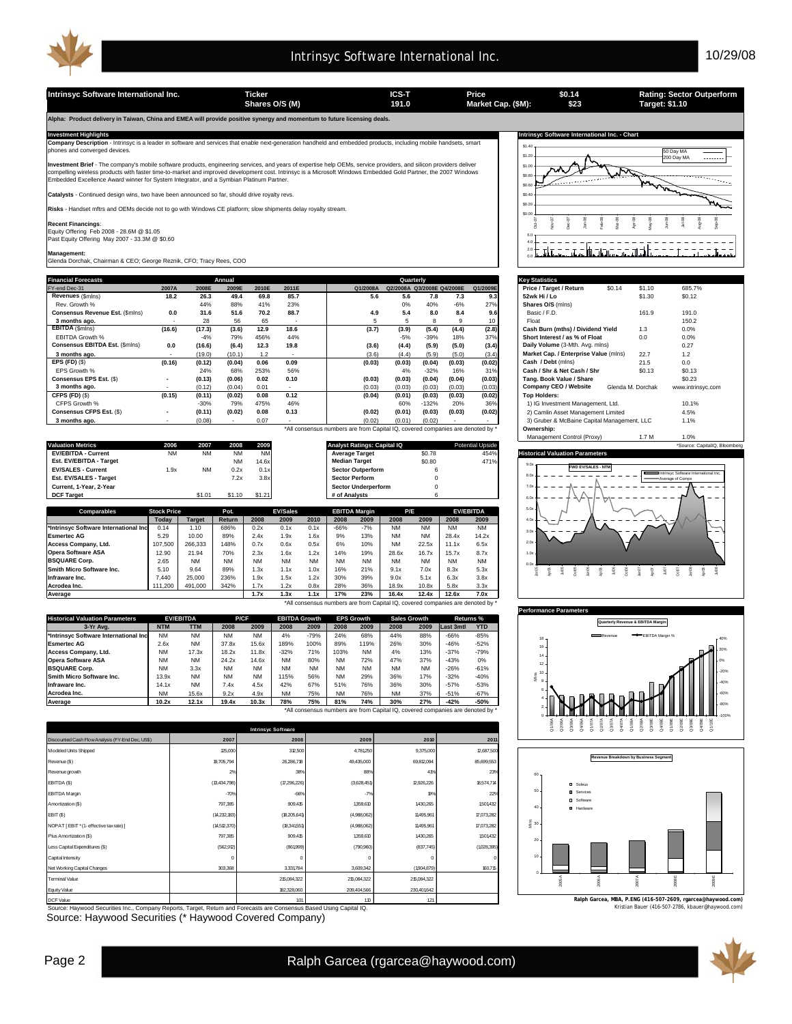Intrinsyc Software International Inc. **Ticker ICS-T** Price **Price 1914** Rating: Sector Outperform<br>
Shares O/S (M) 191.0 Market Cap. (\$M): \$23 Target: \$1.10 **Shares O/S (M) Market Cap. (\$M): 191.0 Target: \$1.10**

**Alpha: Product delivery in Taiwan, China and EMEA will provide positive synergy and momentum to future licensing deals.** 

Investment Highlights Mathemational Inc. - Chart<br>Company Description - Intrinsyc is a leader in software and services that enable next-generation handheld and embedded products, including mobile handsets, smart state of th

**Investment Brief** - The company's mobile software products, engineering services, and years of expertise help OEMs, service providers, and silicon providers deliver<br>compelling wireless products with faster time-to-market

**Ilysts** - Continued design wins, two have been announced so far, should drive royalty revs.

**Risks** - Handset mftrs and OEMs decide not to go with Windows CE platform; slow shipments delay royalty stream.

**Recent Financings**:<br>Equity Offering Feb 2008 - 28.6M @ \$1.05<br>Past Equity Offering May 2007 - 33.3M @ \$0.60

**Management:** Glenda Dorchak, Chairman & CEO; George Reznik, CFO; Tracy Rees, COO

| <b>Financial Forecasts</b>      |                          |        | Annual |       |                          |          | Quarterly                  |         |        |          | <b>Key Statistics</b>                       |                   |                   |
|---------------------------------|--------------------------|--------|--------|-------|--------------------------|----------|----------------------------|---------|--------|----------|---------------------------------------------|-------------------|-------------------|
| FY-end Dec-31                   | 2007A                    | 2008E  | 2009E  | 2010E | 2011E                    | Q1/2008A | Q2/2008A Q3/2008E Q4/2008E |         |        | Q1/2009E | Price / Target / Return<br>\$0.14           | \$1.10            | 685.7%            |
| Revenues (\$mins)               | 18.2                     | 26.3   | 49.4   | 69.8  | 85.7                     | 5.6      | 5.6                        | 7.8     | 7.3    | 9.3      | 52wk Hi / Lo                                | \$1.30            | \$0.12            |
| Rev. Growth %                   |                          | 44%    | 88%    | 41%   | 23%                      |          | 0%                         | 40%     | $-6%$  | 27%      | Shares O/S (mins)                           |                   |                   |
| Consensus Revenue Est. (\$mins) | 0.0                      | 31.6   | 51.6   | 70.2  | 88.7                     | 4.9      | 5.4                        | 8.0     | 8.4    | 9.6      | Basic / F.D.                                | 161.9             | 191.0             |
| 3 months ago.                   | $\sim$                   | 28     | 56     | 65    | $\sim$                   |          |                            | я       |        |          | Float                                       |                   | 150.2             |
| <b>EBITDA</b> (\$mins)          | (16.6)                   | (17.3) | (3.6)  | 12.9  | 18.6                     | (3.7)    | (3.9)                      | (5.4)   | (4.4)  | (2.8)    | Cash Burn (mths) / Dividend Yield           | 1.3               | 0.0%              |
| EBITDA Growth %                 |                          | $-4%$  | 79%    | 456%  | 44%                      |          | $-5%$                      | $-39%$  | 18%    | 37%      | Short Interest / as % of Float              | 0.0               | 0.0%              |
| Consensus EBITDA Est. (\$mins)  | 0.0                      | (16.6) | (6.4)  | 12.3  | 19.8                     | (3.6)    | (4.4)                      | (5.9)   | (5.0)  | (3.4)    | Daily Volume (3-Mth. Avg. mlns)             |                   | 0.27              |
| 3 months ago.                   |                          | (19.0) | (10.1) | 1.2   |                          | (3.6)    | (4.4)                      | (5.9)   | (5.0)  | (3.4)    | Market Cap. / Enterprise Value (mlns)       | 22.7              | 1.2               |
| EPS $(FD)$ $(S)$                | (0.16)                   | (0.12) | (0.04) | 0.06  | 0.09                     | (0.03)   | (0.03)                     | (0.04)  | (0.03) | (0.02)   | Cash / Debt (mins)                          | 21.5              | 0.0               |
| EPS Growth %                    |                          | 24%    | 68%    | 253%  | 56%                      |          | 4%                         | $-32%$  | 16%    | 31%      | Cash / Shr & Net Cash / Shr                 | <b>SO.13</b>      | \$0.13            |
| Consensus EPS Est. (\$)         | $\overline{\phantom{a}}$ | (0.13) | (0.06) | 0.02  | 0.10                     | (0.03)   | (0.03)                     | (0.04)  | (0.04) | (0.03)   | Tang, Book Value / Share                    |                   | \$0.23            |
| 3 months ago.                   | $\overline{\phantom{a}}$ | (0.12) | (0.04) | 0.01  | $\overline{\phantom{a}}$ | (0.03)   | (0.03)                     | (0.03)  | (0.03) | (0.03)   | Company CEO / Website                       | Glenda M. Dorchak | www.intrinsyc.com |
| CFPS (FD) (\$)                  | (0.15)                   | (0.11) | (0.02) | 0.08  | 0.12                     | (0.04)   | (0.01)                     | (0.03)  | (0.03) | (0.02)   | <b>Top Holders:</b>                         |                   |                   |
| CFPS Growth %                   |                          | $-30%$ | 79%    | 475%  | 46%                      |          | 60%                        | $-132%$ | 20%    | 36%      | 1) IG Investment Management, Ltd.           |                   | 10.1%             |
| Consensus CFPS Est. (\$)        | $\overline{\phantom{a}}$ | (0.11) | (0.02) | 0.08  | 0.13                     | (0.02)   | (0.01)                     | (0.03)  | (0.03) | (0.02)   | 2) Camlin Asset Management Limited          |                   | 4.5%              |
| 3 months ago.                   | $\overline{\phantom{a}}$ | (0.08) |        | 0.07  |                          | (0.02)   | (0.01)                     | (0.02)  |        |          | 3) Gruber & McBaine Capital Management, LLC |                   | 1.1%              |

|                                |           |        |           |           |                                    |        |                         | Management Control (Proxy)<br>1.7 <sub>M</sub><br>0%               |  |
|--------------------------------|-----------|--------|-----------|-----------|------------------------------------|--------|-------------------------|--------------------------------------------------------------------|--|
| <b>Valuation Metrics</b>       | 2006      | 2007   | 2008      | 2009      | <b>Analyst Ratings: Capital IQ</b> |        | <b>Potential Upside</b> | *Source: CapitalIQ. Bloombero                                      |  |
| <b>EV/EBITDA - Current</b>     | <b>NM</b> | ΝM     | <b>NM</b> | <b>NM</b> | <b>Average Target</b>              | \$0.78 | 454%                    | <b>Historical Valuation Parameters</b>                             |  |
| <b>Est. EV/EBITDA - Target</b> |           |        | NM        | 14.6x     | <b>Median Target</b>               | \$0.80 | 471%                    |                                                                    |  |
| <b>EV/SALES - Current</b>      | 1.9x      | ΝM     | 0.2x      | 0.1x      | <b>Sector Outperform</b>           |        |                         | <b>FWD EV/SALES - NTM</b><br>Intrinsvc Software International Inc. |  |
| Est. EV/SALES - Target         |           |        | 7.2x      | 3.8x      | <b>Sector Perform</b>              |        |                         | Average of Comps                                                   |  |
| Current, 1-Year, 2-Year        |           |        |           |           | <b>Sector Underperform</b>         |        |                         |                                                                    |  |
| <b>DCF Target</b>              |           | \$1.01 | \$1.10    | \$1.21    | # of Analysts                      |        |                         | $ -$                                                               |  |

| <b>Comparables</b>                    | <b>Stock Price</b> |               | Pot.      |           | <b>EV/Sales</b> |           |           | <b>EBITDA Margin</b> | P/E       |           |           | <b>EV/EBITDA</b> |
|---------------------------------------|--------------------|---------------|-----------|-----------|-----------------|-----------|-----------|----------------------|-----------|-----------|-----------|------------------|
|                                       | Todav              | <b>Target</b> | Return    | 2008      | 2009            | 2010      | 2008      | 2009                 | 2008      | 2009      | 2008      | 2009             |
| *Intrinsvc Software International Inc | 0.14               | 1.10          | 686%      | 0.2x      | 0.1x            | 0.1x      | $-66%$    | $-7%$                | <b>NM</b> | <b>NM</b> | <b>NM</b> | <b>NM</b>        |
| <b>Esmertec AG</b>                    | 5.29               | 10.00         | 89%       | 2.4x      | 1.9x            | 1.6x      | 9%        | 13%                  | <b>NM</b> | <b>NM</b> | 28.4x     | 14.2x            |
| Access Company, Ltd.                  | 107.500            | 266.333       | 148%      | 0.7x      | 0.6x            | 0.5x      | 6%        | 10%                  | <b>NM</b> | 22.5x     | 11.1x     | 6.5x             |
| <b>Opera Software ASA</b>             | 2.90               | 21.94         | 70%       | 2.3x      | 1.6x            | 1.2x      | 14%       | 19%                  | 28.6x     | 16.7x     | 15.7x     | 8.7x             |
| <b>BSQUARE Corp.</b>                  | 2.65               | <b>NM</b>     | <b>NM</b> | <b>NM</b> | <b>NM</b>       | <b>NM</b> | <b>NM</b> | <b>NM</b>            | <b>NM</b> | <b>NM</b> | <b>NM</b> | <b>NM</b>        |
| Smith Micro Software Inc.             | 5.10               | 9.64          | 89%       | .3x       | 1.1x            | 1.0x      | 16%       | 21%                  | 9.1x      | 7.0x      | 8.3x      | 5.3x             |
| Infraware Inc.                        | .440               | 25,000        | 236%      | .9x       | 1.5x            | 1.2x      | 30%       | 39%                  | 9.0x      | 5.1x      | 6.3x      | 3.8x             |
| Acrodea Inc.                          | 111.200            | 491.000       | 342%      | 1.7x      | 1.2x            | 0.8x      | 28%       | 36%                  | 18.9x     | 10.8x     | 5.8x      | 3.3x             |
| <b>Average</b>                        |                    |               |           | 1.7x      | 1.3x            | 1.1x      | 17%       | 23%                  | 16.4x     | 12.4x     | 12.6x     | 7.0x             |

\*All consensus numbers are from Capital IQ, covered companies are denoted by \*

\*All consensus numbers are from Capital IQ, covered companies are denoted by

| <b>Historical Valuation Parameters</b> |            | <b>EV/EBITDA</b> | P/CF      |           |           | <b>EBITDA Growth</b> |           | <b>EPS Growth</b> | <b>Sales Growth</b> |           |                  | <b>Returns %</b> |
|----------------------------------------|------------|------------------|-----------|-----------|-----------|----------------------|-----------|-------------------|---------------------|-----------|------------------|------------------|
| 3-Yr Ava.                              | <b>NTM</b> | <b>TTM</b>       | 2008      | 2009      | 2008      | 2009                 | 2008      | 2009              | 2008                | 2009      | <b>Last 3mtl</b> | <b>YTD</b>       |
| *Intrinsvc Software International Inc  | <b>NM</b>  | <b>NM</b>        | <b>NM</b> | <b>NM</b> | 4%        | $-79%$               | 24%       | 68%               | 44%                 | 88%       | $-66%$           | $-85%$           |
| <b>Esmertec AG</b>                     | 2.6x       | <b>NM</b>        | 37.8x     | 15.6x     | 189%      | 100%                 | 89%       | 119%              | 26%                 | 30%       | $-46%$           | $-52%$           |
| Access Company, Ltd.                   | <b>NM</b>  | 17.3x            | 18.2x     | 11.8x     | $-32%$    | 71%                  | 103%      | <b>NM</b>         | 4%                  | 13%       | $-37%$           | $-79%$           |
| <b>Opera Software ASA</b>              | <b>NM</b>  | <b>NM</b>        | 24.2x     | 14.6x     | <b>NM</b> | 80%                  | <b>NM</b> | 72%               | 47%                 | 37%       | $-43%$           | 0%               |
| <b>BSQUARE Corp.</b>                   | <b>NM</b>  | 3.3x             | <b>NM</b> | <b>NM</b> | <b>NM</b> | <b>NM</b>            | <b>NM</b> | <b>NM</b>         | <b>NM</b>           | <b>NM</b> | $-26%$           | $-61%$           |
| Smith Micro Software Inc.              | 13.9x      | <b>NM</b>        | <b>NM</b> | <b>NM</b> | 115%      | 56%                  | <b>NM</b> | 29%               | 36%                 | 17%       | $-32%$           | $-40%$           |
| Infraware Inc.                         | 14.1x      | <b>NM</b>        | 7.4x      | 4.5x      | 42%       | 67%                  | 51%       | 76%               | 36%                 | 30%       | $-57%$           | $-53%$           |
| Acrodea Inc.                           | <b>NM</b>  | 15.6x            | 9.2x      | 4.9x      | <b>NM</b> | 75%                  | <b>NM</b> | 76%               | <b>NM</b>           | 37%       | $-51%$           | $-67%$           |
| Average                                | 10.2x      | 12.1x            | 19.4x     | 10.3x     | 78%       | 75%                  | 81%       | 74%               | 30%                 | 27%       | $-42%$           | $-50%$           |

\*All consensus numbers are from Capital IQ, covered companies are denoted by \*

|                                                  |                | <b>Intrinsyc Software</b> |             |             |             |
|--------------------------------------------------|----------------|---------------------------|-------------|-------------|-------------|
| Discounted Cash Flow Analysis (FY-End Dec, US\$) | 2007           | 2008                      | 2009        | 2010        | 2011        |
| Modeled Units Shipped                            | 125,000        | 312,500                   | 4,781250    | 9,375,000   | 12,687,500  |
| Revenue (\$)                                     | 19,705,794     | 26,286,718                | 49,435,000  | 69,812,094  | 85,699,553  |
| Revenue growth                                   | 2%             | 38%                       | 88%         | 41%         | 23%         |
| EBITDA (\$)                                      | (13,434,798)   | (17,296,226)              | (3,628,451) | 12,926,226  | 18,574,714  |
| <b>EBITDA Margin</b>                             | $-70%$         | $-66%$                    | $-7%$       | 19%         | 22%         |
| Amortization (\$)                                | 797,385        | 909,415                   | 1359,610    | 1430,265    | 1501432     |
| EBIT (\$)                                        | (14, 232, 183) | (18,205,641)              | (4,988,062) | 11495,961   | 17,073,282  |
| NOPAT [EBIT * (1- effective tax rate) ]          | (14,512,370)   | (18,341,551)              | (4,988,062) | 11495,961   | 17,073,282  |
| Plus Amortization (\$)                           | 797,385        | 909,415                   | 1359,610    | 1430,265    | 1501432     |
| Less Capital Expenditures (\$)                   | (562, 912)     | (861999)                  | (790, 960)  | (837,745)   | (1028, 395) |
| Capital Intensity                                | $\mathbf 0$    | 0                         | O           | $\Omega$    | $\Omega$    |
| Net Working Capital Changes                      | 303,368        | 3,331,784                 | 3,609,342   | (1904, 879) | 160,715     |
| <b>Terminal Value</b>                            |                | 215,084,322               | 215,084,322 | 215,084,322 |             |
| Equity Value                                     |                | 182,328,060               | 209,404,566 | 230,401,642 |             |

DCF Value 1 10 121  $101$  110  $121$ 

Source: Haywood Securities Inc., Company Reports, Target, Return and Forecasts are Consensus Based Using Capital IQ. Kristian Based Using Capital IQ. The Securities (\* Haywood.com) and Securities (\* Haywood Covered Company



**\$0.14 \$23**

| <b>Key Statistics</b>                       |        |                   |                   |
|---------------------------------------------|--------|-------------------|-------------------|
| Price / Target / Return                     | \$0.14 | \$1.10            | 685.7%            |
| 52wk Hi / Lo                                |        | \$1.30            | \$0.12            |
| Shares O/S (mins)                           |        |                   |                   |
| Basic / F.D.                                |        | 161.9             | 191.0             |
| Float                                       |        |                   | 150.2             |
| Cash Burn (mths) / Dividend Yield           |        | 1.3               | 0.0%              |
| Short Interest / as % of Float              |        | 0.0               | 0.0%              |
| Daily Volume (3-Mth. Avg. mlns)             |        |                   | 0.27              |
| Market Cap. / Enterprise Value (mlns)       |        | 22.7              | 1.2               |
| Cash / Debt (mlns)                          |        | 21.5              | 0.0               |
| Cash / Shr & Net Cash / Shr                 |        | \$0.13            | \$0.13            |
| Tang, Book Value / Share                    |        |                   | \$0.23            |
| Company CEO / Website                       |        | Glenda M. Dorchak | www.intrinsyc.com |
| <b>Top Holders:</b>                         |        |                   |                   |
| 1) IG Investment Management, Ltd.           |        |                   | 10.1%             |
| 2) Camlin Asset Management Limited          |        |                   | 4.5%              |
| 3) Gruber & McBaine Capital Management, LLC |        |                   | 1.1%              |
| Ownership:                                  |        |                   |                   |
|                                             |        | 17.1              | $A$ $01$          |







**Ralph Garcea, MBA, P.ENG (416-507-2609, rgarcea@haywood.com)**

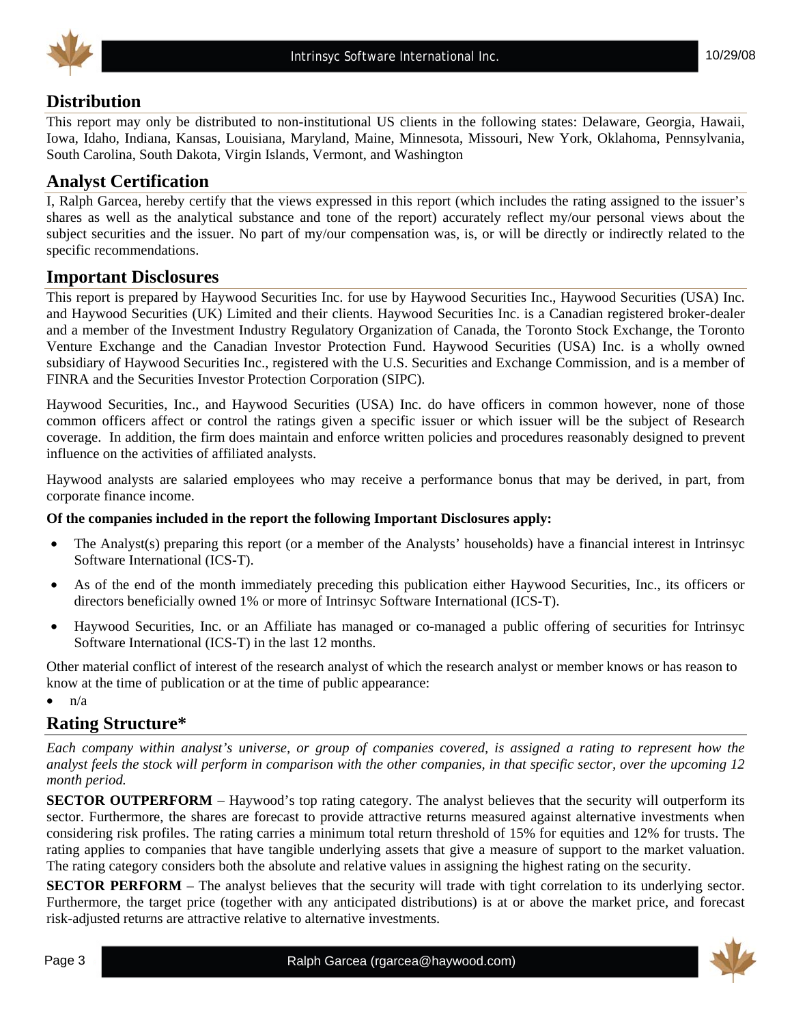



### **Distribution**

This report may only be distributed to non-institutional US clients in the following states: Delaware, Georgia, Hawaii, Iowa, Idaho, Indiana, Kansas, Louisiana, Maryland, Maine, Minnesota, Missouri, New York, Oklahoma, Pennsylvania, South Carolina, South Dakota, Virgin Islands, Vermont, and Washington

### **Analyst Certification**

I, Ralph Garcea, hereby certify that the views expressed in this report (which includes the rating assigned to the issuer's shares as well as the analytical substance and tone of the report) accurately reflect my/our personal views about the subject securities and the issuer. No part of my/our compensation was, is, or will be directly or indirectly related to the specific recommendations.

#### **Important Disclosures**

This report is prepared by Haywood Securities Inc. for use by Haywood Securities Inc., Haywood Securities (USA) Inc. and Haywood Securities (UK) Limited and their clients. Haywood Securities Inc. is a Canadian registered broker-dealer and a member of the Investment Industry Regulatory Organization of Canada, the Toronto Stock Exchange, the Toronto Venture Exchange and the Canadian Investor Protection Fund. Haywood Securities (USA) Inc. is a wholly owned subsidiary of Haywood Securities Inc., registered with the U.S. Securities and Exchange Commission, and is a member of FINRA and the Securities Investor Protection Corporation (SIPC).

Haywood Securities, Inc., and Haywood Securities (USA) Inc. do have officers in common however, none of those common officers affect or control the ratings given a specific issuer or which issuer will be the subject of Research coverage. In addition, the firm does maintain and enforce written policies and procedures reasonably designed to prevent influence on the activities of affiliated analysts.

Haywood analysts are salaried employees who may receive a performance bonus that may be derived, in part, from corporate finance income.

#### **Of the companies included in the report the following Important Disclosures apply:**

- The Analyst(s) preparing this report (or a member of the Analysts' households) have a financial interest in Intrinsyc Software International (ICS-T).
- As of the end of the month immediately preceding this publication either Haywood Securities, Inc., its officers or directors beneficially owned 1% or more of Intrinsyc Software International (ICS-T).
- Haywood Securities, Inc. or an Affiliate has managed or co-managed a public offering of securities for Intrinsyc Software International (ICS-T) in the last 12 months.

Other material conflict of interest of the research analyst of which the research analyst or member knows or has reason to know at the time of publication or at the time of public appearance:

 $\bullet$   $\frac{n}{a}$ 

#### **Rating Structure\***

*Each company within analyst's universe, or group of companies covered, is assigned a rating to represent how the analyst feels the stock will perform in comparison with the other companies, in that specific sector, over the upcoming 12 month period.* 

**SECTOR OUTPERFORM** – Haywood's top rating category. The analyst believes that the security will outperform its sector. Furthermore, the shares are forecast to provide attractive returns measured against alternative investments when considering risk profiles. The rating carries a minimum total return threshold of 15% for equities and 12% for trusts. The rating applies to companies that have tangible underlying assets that give a measure of support to the market valuation. The rating category considers both the absolute and relative values in assigning the highest rating on the security.

**SECTOR PERFORM** – The analyst believes that the security will trade with tight correlation to its underlying sector. Furthermore, the target price (together with any anticipated distributions) is at or above the market price, and forecast risk-adjusted returns are attractive relative to alternative investments.

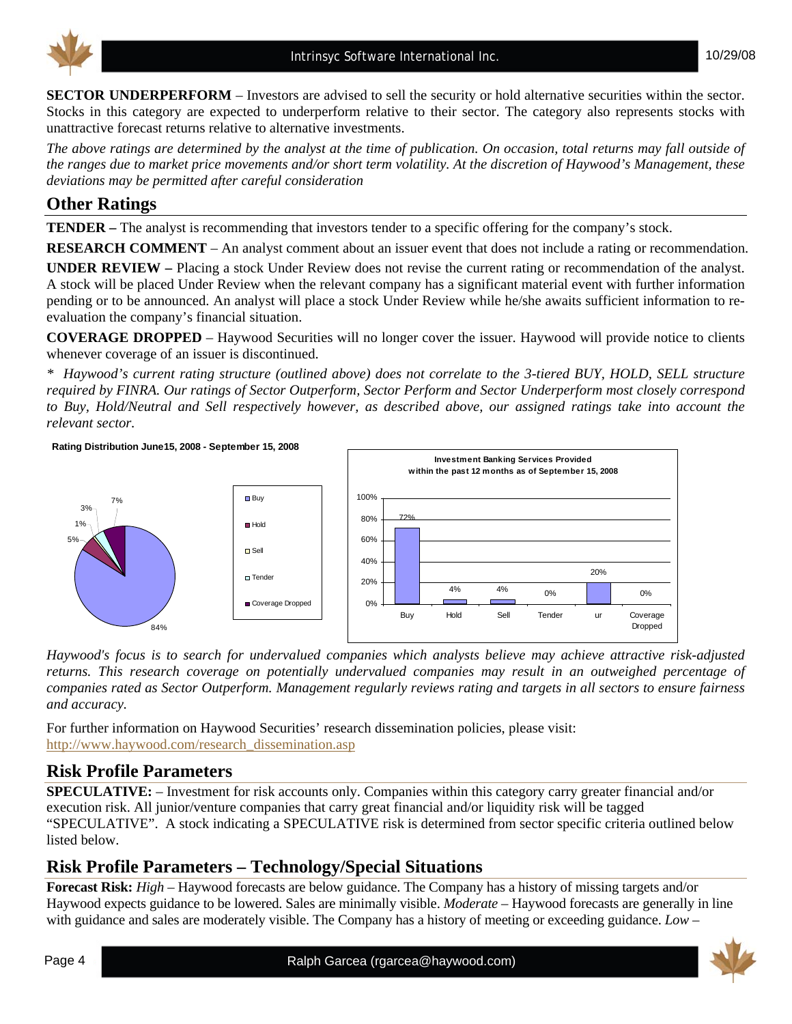**SECTOR UNDERPERFORM** – Investors are advised to sell the security or hold alternative securities within the sector. Stocks in this category are expected to underperform relative to their sector. The category also represents stocks with unattractive forecast returns relative to alternative investments.

*The above ratings are determined by the analyst at the time of publication. On occasion, total returns may fall outside of the ranges due to market price movements and/or short term volatility. At the discretion of Haywood's Management, these deviations may be permitted after careful consideration* 

# **Other Ratings**

**TENDER –** The analyst is recommending that investors tender to a specific offering for the company's stock.

**RESEARCH COMMENT** – An analyst comment about an issuer event that does not include a rating or recommendation.

**UNDER REVIEW –** Placing a stock Under Review does not revise the current rating or recommendation of the analyst. A stock will be placed Under Review when the relevant company has a significant material event with further information pending or to be announced. An analyst will place a stock Under Review while he/she awaits sufficient information to reevaluation the company's financial situation.

**COVERAGE DROPPED** – Haywood Securities will no longer cover the issuer. Haywood will provide notice to clients whenever coverage of an issuer is discontinued.

*\* Haywood's current rating structure (outlined above) does not correlate to the 3-tiered BUY, HOLD, SELL structure required by FINRA. Our ratings of Sector Outperform, Sector Perform and Sector Underperform most closely correspond to Buy, Hold/Neutral and Sell respectively however, as described above, our assigned ratings take into account the relevant sector.* 

**Rating Distribution June15, 2008 - September 15, 2008**



*Haywood's focus is to search for undervalued companies which analysts believe may achieve attractive risk-adjusted returns. This research coverage on potentially undervalued companies may result in an outweighed percentage of companies rated as Sector Outperform. Management regularly reviews rating and targets in all sectors to ensure fairness and accuracy.* 

For further information on Haywood Securities' research dissemination policies, please visit: http://www.haywood.com/research\_dissemination.asp

# **Risk Profile Parameters**

**SPECULATIVE:** – Investment for risk accounts only. Companies within this category carry greater financial and/or execution risk. All junior/venture companies that carry great financial and/or liquidity risk will be tagged "SPECULATIVE". A stock indicating a SPECULATIVE risk is determined from sector specific criteria outlined below listed below.

# **Risk Profile Parameters – Technology/Special Situations**

**Forecast Risk:** *High* – Haywood forecasts are below guidance. The Company has a history of missing targets and/or Haywood expects guidance to be lowered. Sales are minimally visible. *Moderate* – Haywood forecasts are generally in line with guidance and sales are moderately visible. The Company has a history of meeting or exceeding guidance. *Low* –